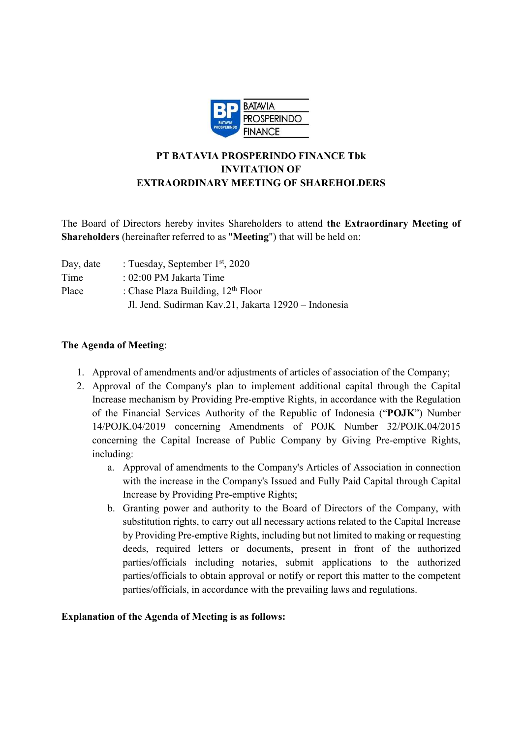

# PT BATAVIA PROSPERINDO FINANCE Tbk INVITATION OF EXTRAORDINARY MEETING OF SHAREHOLDERS

The Board of Directors hereby invites Shareholders to attend the Extraordinary Meeting of Shareholders (hereinafter referred to as "Meeting") that will be held on:

| Day, date | : Tuesday, September $1st$ , 2020                    |
|-----------|------------------------------------------------------|
| Time      | $: 02:00$ PM Jakarta Time                            |
| Place     | : Chase Plaza Building, $12th$ Floor                 |
|           | Jl. Jend. Sudirman Kav.21, Jakarta 12920 - Indonesia |

## The Agenda of Meeting:

- 1. Approval of amendments and/or adjustments of articles of association of the Company;
- 2. Approval of the Company's plan to implement additional capital through the Capital Increase mechanism by Providing Pre-emptive Rights, in accordance with the Regulation of the Financial Services Authority of the Republic of Indonesia ("POJK") Number 14/POJK.04/2019 concerning Amendments of POJK Number 32/POJK.04/2015 concerning the Capital Increase of Public Company by Giving Pre-emptive Rights, including:
	- a. Approval of amendments to the Company's Articles of Association in connection with the increase in the Company's Issued and Fully Paid Capital through Capital Increase by Providing Pre-emptive Rights;
	- b. Granting power and authority to the Board of Directors of the Company, with substitution rights, to carry out all necessary actions related to the Capital Increase by Providing Pre-emptive Rights, including but not limited to making or requesting deeds, required letters or documents, present in front of the authorized parties/officials including notaries, submit applications to the authorized parties/officials to obtain approval or notify or report this matter to the competent parties/officials, in accordance with the prevailing laws and regulations.

#### Explanation of the Agenda of Meeting is as follows: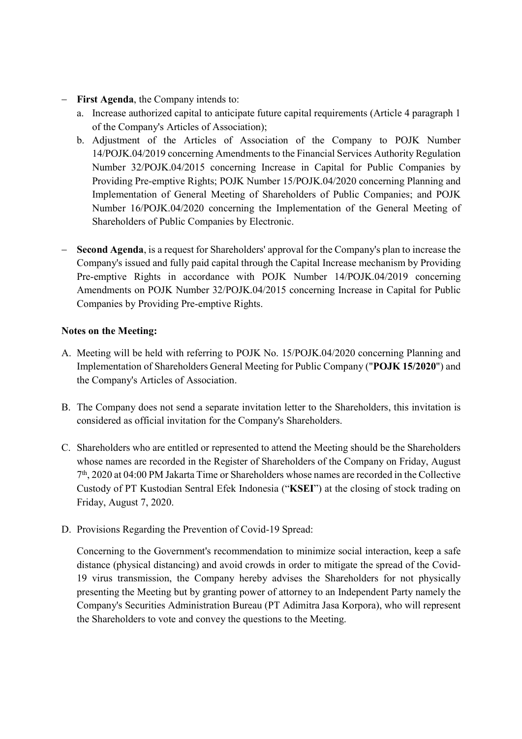- First Agenda, the Company intends to:
	- a. Increase authorized capital to anticipate future capital requirements (Article 4 paragraph 1 of the Company's Articles of Association);
	- b. Adjustment of the Articles of Association of the Company to POJK Number 14/POJK.04/2019 concerning Amendments to the Financial Services Authority Regulation Number 32/POJK.04/2015 concerning Increase in Capital for Public Companies by Providing Pre-emptive Rights; POJK Number 15/POJK.04/2020 concerning Planning and Implementation of General Meeting of Shareholders of Public Companies; and POJK Number 16/POJK.04/2020 concerning the Implementation of the General Meeting of Shareholders of Public Companies by Electronic.
- Second Agenda, is a request for Shareholders' approval for the Company's plan to increase the Company's issued and fully paid capital through the Capital Increase mechanism by Providing Pre-emptive Rights in accordance with POJK Number 14/POJK.04/2019 concerning Amendments on POJK Number 32/POJK.04/2015 concerning Increase in Capital for Public Companies by Providing Pre-emptive Rights.

### Notes on the Meeting:

- A. Meeting will be held with referring to POJK No. 15/POJK.04/2020 concerning Planning and Implementation of Shareholders General Meeting for Public Company ("POJK 15/2020") and the Company's Articles of Association.
- B. The Company does not send a separate invitation letter to the Shareholders, this invitation is considered as official invitation for the Company's Shareholders.
- C. Shareholders who are entitled or represented to attend the Meeting should be the Shareholders whose names are recorded in the Register of Shareholders of the Company on Friday, August 7 th, 2020 at 04:00 PM Jakarta Time or Shareholders whose names are recorded in the Collective Custody of PT Kustodian Sentral Efek Indonesia ("KSEI") at the closing of stock trading on Friday, August 7, 2020.
- D. Provisions Regarding the Prevention of Covid-19 Spread:

Concerning to the Government's recommendation to minimize social interaction, keep a safe distance (physical distancing) and avoid crowds in order to mitigate the spread of the Covid-19 virus transmission, the Company hereby advises the Shareholders for not physically presenting the Meeting but by granting power of attorney to an Independent Party namely the Company's Securities Administration Bureau (PT Adimitra Jasa Korpora), who will represent the Shareholders to vote and convey the questions to the Meeting.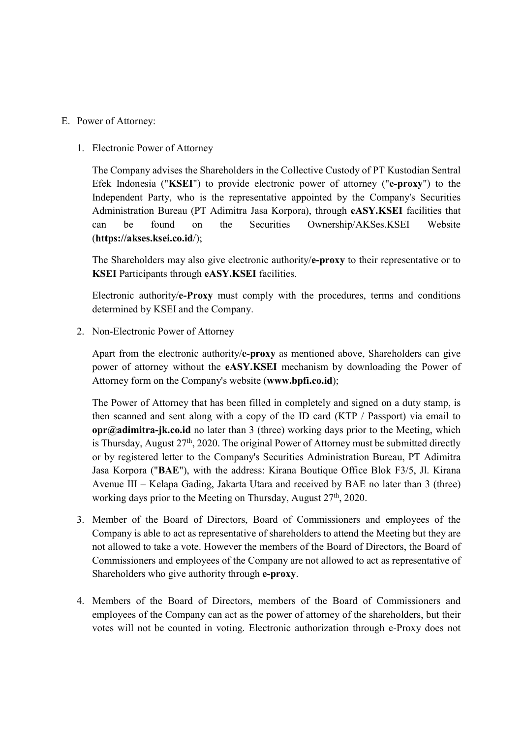E. Power of Attorney:

#### 1. Electronic Power of Attorney

The Company advises the Shareholders in the Collective Custody of PT Kustodian Sentral Efek Indonesia ("KSEI") to provide electronic power of attorney ("e-proxy") to the Independent Party, who is the representative appointed by the Company's Securities Administration Bureau (PT Adimitra Jasa Korpora), through eASY.KSEI facilities that can be found on the Securities Ownership/AKSes.KSEI Website (https://akses.ksei.co.id/);

The Shareholders may also give electronic authority/e-proxy to their representative or to KSEI Participants through eASY.KSEI facilities.

Electronic authority/e-Proxy must comply with the procedures, terms and conditions determined by KSEI and the Company.

2. Non-Electronic Power of Attorney

Apart from the electronic authority/e-proxy as mentioned above, Shareholders can give power of attorney without the eASY.KSEI mechanism by downloading the Power of Attorney form on the Company's website (www.bpfi.co.id);

The Power of Attorney that has been filled in completely and signed on a duty stamp, is then scanned and sent along with a copy of the ID card (KTP / Passport) via email to opr@adimitra-jk.co.id no later than 3 (three) working days prior to the Meeting, which is Thursday, August  $27<sup>th</sup>$ , 2020. The original Power of Attorney must be submitted directly or by registered letter to the Company's Securities Administration Bureau, PT Adimitra Jasa Korpora ("BAE"), with the address: Kirana Boutique Office Blok F3/5, Jl. Kirana Avenue III – Kelapa Gading, Jakarta Utara and received by BAE no later than 3 (three) working days prior to the Meeting on Thursday, August 27<sup>th</sup>, 2020.

- 3. Member of the Board of Directors, Board of Commissioners and employees of the Company is able to act as representative of shareholders to attend the Meeting but they are not allowed to take a vote. However the members of the Board of Directors, the Board of Commissioners and employees of the Company are not allowed to act as representative of Shareholders who give authority through e-proxy.
- 4. Members of the Board of Directors, members of the Board of Commissioners and employees of the Company can act as the power of attorney of the shareholders, but their votes will not be counted in voting. Electronic authorization through e-Proxy does not